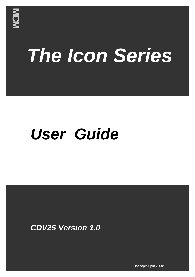

# *The Icon Series*

## *User Guide*

*CDV25 Version 1.0*

Iconopm1.pm6 200198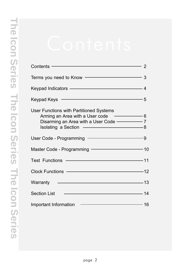| Contents – 2                                                                                                             |  |
|--------------------------------------------------------------------------------------------------------------------------|--|
| Terms you need to Know - Terms 3                                                                                         |  |
| Keypad Indicators - 4                                                                                                    |  |
| Keypad Keys ––––––––––––––––––––––––––––5                                                                                |  |
| User Functions with Partitioned Systems<br>Arming an Area with a User code – 6<br>Disarming an Area with a User Code - 7 |  |
| User Code - Programming – 2008                                                                                           |  |
| Master Code - Programming - 2008                                                                                         |  |
| Test Functions - 11                                                                                                      |  |
| Clock Functions ————————————————12                                                                                       |  |
| Warranty 13                                                                                                              |  |
| <b>Section List</b>                                                                                                      |  |
| Important Information – 16                                                                                               |  |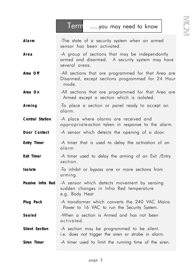**Terms .....you may need to know**

Alarm **Alarm** -The state of a security system when an armed sensor has been activated. Area **And Act Act A** group of sections that may be independantly armed and disarmed. A security system may have several areas. Area Off **-All** sections that are programmed for that Area are Disarmed, except sections programmed for 24 Hour mode. Area On **-All** sections that are programmed for that Area are Armed except a section which is isolated. **Arming** -To place a section or panel ready to accept an alarm. *Central Station* -A place where alarms are received and appropriate action taken in response to the alarm. **Door Contact** -A sensor which detects the opening of a door. **Entry Timer -A** timer that is used to delay the activation of an alarm **Exit Timer -A** timer used to delay the arming of an Exit /Entry section. **Isolate -To** inhibit or bypass one or more sections from arming. *Passive Infra Red* -A sensor which detects movement by sensing sudden changes in Infra Red temperature e.g. Body Heat **Plug Pack** -A transformer which converts the 240 VAC Mains Power to 16 VAC to run the Security System. **Sealed** -When a section is Armed and has not been activated. **Silent Section** -A section may be programmed to be silent. i.e. does not trigger the siren or strobe in alarm. **Siren Timer -A** timer used to limit the running time of the siren.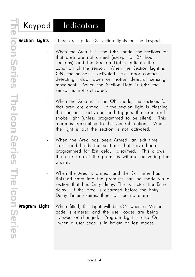### **Keypad - Indicators**

*Section Lights* There are up to 48 section lights on the keypad.

- When the Area is in the **OFF** mode, the sections for that area are not armed (except for 24 hour sections) and the Section Lights indicate the condition of the sensor. When the Section Light is ON, the sensor is activated e.g. door contact detecting door open or motion detector sensing movement. When the Section Light is OFF the sensor is not activated.

- When the Area is in the **ON** mode, the sections for that area are armed. If the section light is Flashing the sensor is activated and triggers the siren and strobe light (unless programmed to be silent). This alarm is transmitted to the Central Station. When the light is out the section is not activated.

When the Area has been Armed, an exit timer starts and holds the sections that have been programmed for Exit delay disarmed. This allows the user to exit the premises without activating the alarm.

- When the Area is armed, and the Exit timer has finished, Entry into the premises can be made via a section that has Entry delay. This will start the Entry delay. If the Area is disarmed before the Entry Delay Timer expires, there will be no alarm.

*Program Light*- When fitted, this Light will be ON when a Master code is entered and the user codes are being viewed or changed. Program Light is also On when a user code is in Isolate or Test modes.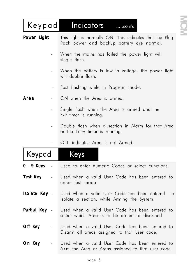| Keypad                                 | Indicators<br>$\dots$ .cont'd                                                                        |  |
|----------------------------------------|------------------------------------------------------------------------------------------------------|--|
| <b>Power Light</b>                     | This light is normally ON. This indicates that the Plug<br>Pack power and backup battery are normal. |  |
|                                        | When the mains has failed the power light will<br>single flash.                                      |  |
|                                        | When the battery is low in voltage, the power light<br>will double flash.                            |  |
|                                        | Fast flashing while in Program mode.                                                                 |  |
| Area                                   | ON when the Area is armed.                                                                           |  |
|                                        | Single flash when the Area is armed and the<br>Exit timer is running.                                |  |
|                                        | Double flash when a section in Alarm for that Area<br>or the Entry timer is running.                 |  |
|                                        | OFF indicates Area is not Armed.                                                                     |  |
| Keypad                                 | <u>Keys</u>                                                                                          |  |
| 0 - 9 Keys<br><b>Contract Contract</b> | Used to enter numeric Codes or select Functions.                                                     |  |
| Test Key -                             | Used when a valid User Code has been entered to<br>enter Test mode.                                  |  |
| Isolate Key -                          | Used when a valid User Code has been entered to<br>Isolate a section, while Arming the System.       |  |
| Partial Key -                          | Used when a valid User Code has been entered to<br>select which Area is to be armed or disarmed      |  |
| Off Key<br>$\blacksquare$              | Used when a valid User Code has been entered to<br>Disarm all areas assigned to that user code.      |  |
| On Key<br>$\blacksquare$               | Used when a valid User Code has been entered to<br>Arm the Area or Areas assigned to that user code. |  |

MOM

**MCM Electronics MCM Electronics MCM Electronics**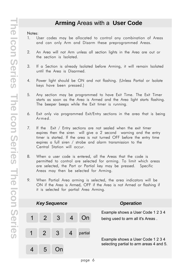### **Arming** Areas with a **User Code**

- 1. User codes may be allocated to control any combination of Areas and can only Arm and Disarm these preprogrammed Areas.
- 2. An Area will not Arm unless all section lights in the Area are out or the section is Isolated.
- 3. If a Section is already Isolated before Arming, it will remain Isolated until the Area is Disarmed.
- 4. Power light should be ON and not flashing. (Unless Partial or Isolate keys have been pressed.)
- 5. Any section may be programmed to have Exit Time. The Exit Timer starts as soon as the Area is Armed and the Area light starts flashing. The beeper beeps while the Exit timer is running.
- 6. Exit only via programmed Exit/Entry sections in the area that is being Armed.
- 7. If the Exit / Entry sections are not sealed when the exit timer expires then the siren will give a 2 second warning and the entry timer is started. If the area is not turned OFF before the entry time expires a full siren / strobe and alarm transmission to the Central Station will occur.
- 8. When a user code is entered, all the Areas that the code is permitted to control are selected for arming. To limit which areas are selected, the Part or Partial key may be pressed. Specific Areas may then be selected for Arming.
- 9. When Partial Area arming is selected, the area indicators will be ON if the Area is Armed, OFF if the Area is not Armed or flashing if it is selected for partial Area Arming.

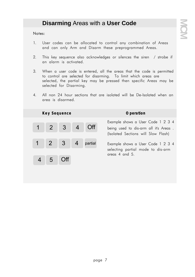### **Disarming** Areas with a **User Code**

- 1. User codes can be allocated to control any combination of Areas and can only Arm and Disarm these preprogrammed Areas.
- 2. This key sequence also acknowledges or silences the siren / strobe if an alarm is activated.
- 3. When a user code is entered, all the areas that the code is permitted to control are selected for disarming. To limit which areas are selected, the partial key may be pressed then specific Areas may be selected for Disarming.
- 4. All non 24 hour sections that are isolated will be De-Isolated when an area is disarmed.

|         | Key Sequence |                 | <i><b>Operation</b></i>                                                                                           |
|---------|--------------|-----------------|-------------------------------------------------------------------------------------------------------------------|
|         |              | 1 2 3 4 Off     | Example shows a User Code 1 2 3 4<br>being used to dis-arm all it's Areas.<br>(Isolated Sections will Slow Flash) |
|         |              | 1 2 3 4 partial | Example shows a User Code 1 2 3 4<br>selecting partial mode to dis-arm                                            |
| 4 5 Off |              |                 | areas 4 and 5.                                                                                                    |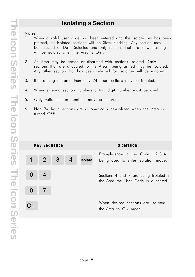### **Isolating** a **Section**

- 1. When a valid user code has been entered and the isolate key has been pressed, all isolated sections will be Slow Flashing. Any section may be Selected or De - Selected and only sections that are Slow Flashing will be isolated when the Area is On .
- 2. An Area may be armed or disarmed with sections Isolated. Only sections that are allocated to the Area being armed may be isolated. Any other section that has been selected for isolation will be ignored.
- 3. If disarming an area then only 24 hour sections may be isolated.
- 4. When entering section numbers a two digit number must be used.
- 5. Only valid section numbers may be entered.
- 6. Non 24 hour sections are automatically de-isolated when the Area is turned OFF.

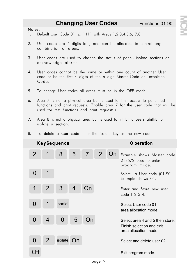**MCM Electronics MCM Electronics MCM Electronics**

### **Changing User Codes** Functions 01-90

### **Notes:**

- 1. Default User Code 01 is.. 1111 with Areas 1,2,3,4,5,6, 7,8.
- 2. User codes are 4 digits long and can be allocated to control any combination of areas.
- 3. User codes are used to change the status of panel, isolate sections or acknowledge alarms.
- 4. User codes cannot be the same or within one count of another User code or be the first 4 digits of the 6 digit Master Code or Technician Code.
- 5. To change User codes all areas must be in the OFF mode.
- 6. Area 7 is not a physical area but is used to limit access to panel test functions and print requests. (Enable area 7 for the user code that will be used for test functions and print requests.)
- 7. Area 8 is not a physical area but is used to inhibit a user's abitlity to isolate a section.
- 8. **To delete a user code** enter the isolate key as the new code.



page 9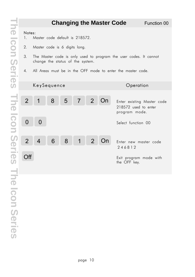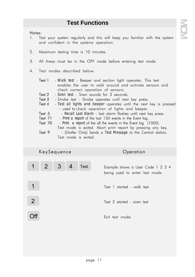### **Test Functions**

- 1. Test your system regularly and this will keep you familiar with the system and confident in the systems operation.
- 2. Maximum testing time is 10 minutes.
- 3. All Areas must be in the OFF mode before entering test mode.
- 4. Test modes described below.
	- **Test 1** *Walk test* Beeper and section light operates. This test enables the user to walk around and activate sensors and check correct operation of sensors.
	- **Test 2**  *Siren test* Siren sounds for 3 seconds.
	- **Test 3** Strobe test Strobe operates unitl next key press.
	- **Test 4** *Test all lights and beeper* operates until the next key is pressed - used to check operation of lights and beeper.
	- **Test 5**  *Recall Last Alarm* last alarm flashes until next key press.
	- **Test 71**  *Print a report* of the last 150 events in the Event log.
	- **Test 70** *Print a report* of the all the events in the Event log (1000).
	- Test mode is exited. Abort print report by pressing any key. **Test 9** - (Dialler Only) Sends a *Test Message* to the Central station. Test mode is exited.

|                | KeySequence                 |  |             | Operation                                                           |
|----------------|-----------------------------|--|-------------|---------------------------------------------------------------------|
|                | $1 \quad 2 \quad 3 \quad 4$ |  | <b>Test</b> | Example shows a User Code 1 2 3 4<br>being used to enter test mode. |
|                |                             |  |             | Test 1 started - walk test                                          |
| $\overline{2}$ |                             |  |             | Test 2 started - siren test                                         |
|                |                             |  |             | Exit test mode.                                                     |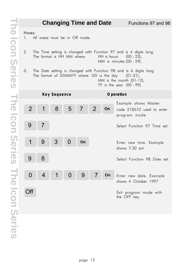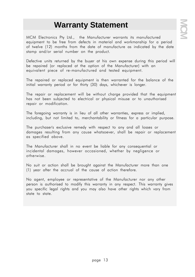### **Warranty Statement**

MCM Electronics Pty Ltd., the Manufacturer warrants its manufactured equipment to be free from defects in material and workmanship for a period of twelve (12) months from the date of manufacture as indicated by the date stamp and/or serial number on the product.

Defective units returned by the buyer at his own expense during this period will be repaired (or replaced at the option of the Manufacturer) with an equivalent piece of re-manufactured and tested equipment.

The repaired or replaced equipment is then warranted for the balance of the initial warranty period or for thirty (30) days, whichever is longer.

The repair or replacement will be without charge provided that the equipment has not been subjected to electrical or physical misuse or to unauthorised repair or modification.

The foregoing warranty is in lieu of all other warranties, express or implied, including, but not limited to, merchantability or fitness for a particular purpose.

The purchaser's exclusive remedy with respect to any and all losses or damages resulting from any cause whatsoever, shall be repair or replacement as specified above.

The Manufacturer shall in no event be liable for any consequential or incidental damages, however occasioned, whether by negligence or otherwise.

No suit or action shall be brought against the Manufacturer more than one (1) year after the accrual of the cause of action therefore.

No agent, employee or representative of the Manufacturer nor any other person is authorised to modify this warranty in any respect. This warranty gives you specific legal rights and you may also have other rights which vary from state to state.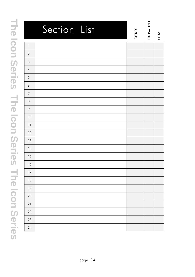| Section List         | <b>AREAS</b> | ENTRY/EXIT | 24HR |
|----------------------|--------------|------------|------|
| $\mathbf{1}$         |              |            |      |
| $\sqrt{2}$           |              |            |      |
| $\mathsf 3$          |              |            |      |
| $\overline{4}$       |              |            |      |
| $\sqrt{5}$           |              |            |      |
| $\acute{\mathrm{o}}$ |              |            |      |
| $\overline{7}$       |              |            |      |
| $\,8\,$              |              |            |      |
| $\,9$                |              |            |      |
| 10                   |              |            |      |
| 11                   |              |            |      |
| 12                   |              |            |      |
| 13                   |              |            |      |
| 14                   |              |            |      |
| 15                   |              |            |      |
| 16                   |              |            |      |
| $17\,$               |              |            |      |
| $18\,$               |              |            |      |
| $19$                 |              |            |      |
| $20\,$               |              |            |      |
| 21                   |              |            |      |
| $22\,$               |              |            |      |
| $23\,$               |              |            |      |
| 24                   |              |            |      |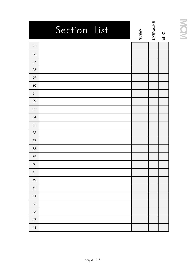| Section List | <b>AREAS</b> | ENTRY/EXIT | 24HR |
|--------------|--------------|------------|------|
| 25           |              |            |      |
| 26           |              |            |      |
| $27\,$       |              |            |      |
| 28           |              |            |      |
| 29           |              |            |      |
| 30           |              |            |      |
| 31           |              |            |      |
| 32           |              |            |      |
| 33           |              |            |      |
| 34           |              |            |      |
| 35           |              |            |      |
| 36           |              |            |      |
| 37           |              |            |      |
| 38           |              |            |      |
| 39           |              |            |      |
| 40           |              |            |      |
| 41           |              |            |      |
| $42\,$       |              |            |      |
| $43\,$       |              |            |      |
| $44\,$       |              |            |      |
| $45\,$       |              |            |      |
| $46\,$       |              |            |      |
| $47\,$       |              |            |      |
| $\sqrt{48}$  |              |            |      |

# MOM **MCM Electronics MCM Electronics MCM Electronics**